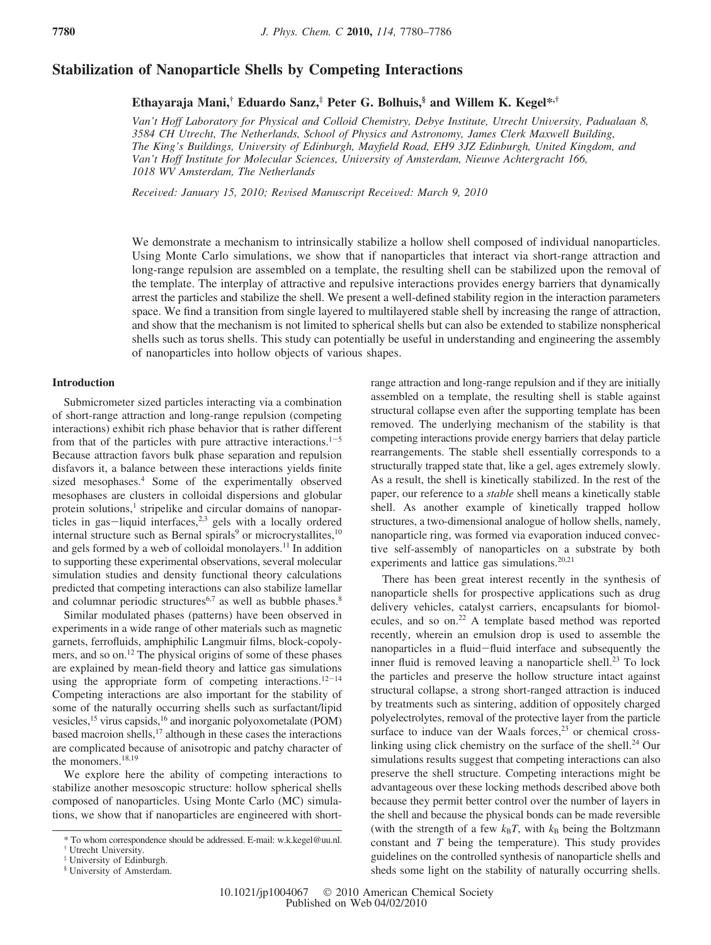# **Stabilization of Nanoparticle Shells by Competing Interactions**

**Ethayaraja Mani,† Eduardo Sanz,‡ Peter G. Bolhuis,§ and Willem K. Kegel\*,†**

Van't Hoff Laboratory for Physical and Colloid Chemistry, Debye Institute, Utrecht University, Padualaan 8, *3584 CH Utrecht, The Netherlands, School of Physics and Astronomy, James Clerk Maxwell Building, The King's Buildings, Uni*V*ersity of Edinburgh, Mayfield Road, EH9 3JZ Edinburgh, United Kingdom, and Van't Hoff Institute for Molecular Sciences, Uni*V*ersity of Amsterdam, Nieuwe Achtergracht 166, 1018 WV Amsterdam, The Netherlands*

*Received: January 15, 2010; Revised Manuscript Received: March 9, 2010* 

We demonstrate a mechanism to intrinsically stabilize a hollow shell composed of individual nanoparticles. Using Monte Carlo simulations, we show that if nanoparticles that interact via short-range attraction and long-range repulsion are assembled on a template, the resulting shell can be stabilized upon the removal of the template. The interplay of attractive and repulsive interactions provides energy barriers that dynamically arrest the particles and stabilize the shell. We present a well-defined stability region in the interaction parameters space. We find a transition from single layered to multilayered stable shell by increasing the range of attraction, and show that the mechanism is not limited to spherical shells but can also be extended to stabilize nonspherical shells such as torus shells. This study can potentially be useful in understanding and engineering the assembly of nanoparticles into hollow objects of various shapes.

## **Introduction**

Submicrometer sized particles interacting via a combination of short-range attraction and long-range repulsion (competing interactions) exhibit rich phase behavior that is rather different from that of the particles with pure attractive interactions. $1-5$ Because attraction favors bulk phase separation and repulsion disfavors it, a balance between these interactions yields finite sized mesophases.<sup>4</sup> Some of the experimentally observed mesophases are clusters in colloidal dispersions and globular protein solutions,<sup>1</sup> stripelike and circular domains of nanoparticles in gas-liquid interfaces, $2,3$  gels with a locally ordered internal structure such as Bernal spirals<sup>9</sup> or microcrystallites,<sup>10</sup> and gels formed by a web of colloidal monolayers.<sup>11</sup> In addition to supporting these experimental observations, several molecular simulation studies and density functional theory calculations predicted that competing interactions can also stabilize lamellar and columnar periodic structures<sup>6,7</sup> as well as bubble phases.<sup>8</sup>

Similar modulated phases (patterns) have been observed in experiments in a wide range of other materials such as magnetic garnets, ferrofluids, amphiphilic Langmuir films, block-copolymers, and so on.<sup>12</sup> The physical origins of some of these phases are explained by mean-field theory and lattice gas simulations using the appropriate form of competing interactions.<sup>12-14</sup> Competing interactions are also important for the stability of some of the naturally occurring shells such as surfactant/lipid vesicles,<sup>15</sup> virus capsids,<sup>16</sup> and inorganic polyoxometalate (POM) based macroion shells, $17$  although in these cases the interactions are complicated because of anisotropic and patchy character of the monomers.<sup>18,19</sup>

We explore here the ability of competing interactions to stabilize another mesoscopic structure: hollow spherical shells composed of nanoparticles. Using Monte Carlo (MC) simulations, we show that if nanoparticles are engineered with shortrange attraction and long-range repulsion and if they are initially assembled on a template, the resulting shell is stable against structural collapse even after the supporting template has been removed. The underlying mechanism of the stability is that competing interactions provide energy barriers that delay particle rearrangements. The stable shell essentially corresponds to a structurally trapped state that, like a gel, ages extremely slowly. As a result, the shell is kinetically stabilized. In the rest of the paper, our reference to a *stable* shell means a kinetically stable shell. As another example of kinetically trapped hollow structures, a two-dimensional analogue of hollow shells, namely, nanoparticle ring, was formed via evaporation induced convective self-assembly of nanoparticles on a substrate by both experiments and lattice gas simulations.20,21

There has been great interest recently in the synthesis of nanoparticle shells for prospective applications such as drug delivery vehicles, catalyst carriers, encapsulants for biomolecules, and so on.<sup>22</sup> A template based method was reported recently, wherein an emulsion drop is used to assemble the nanoparticles in a fluid-fluid interface and subsequently the inner fluid is removed leaving a nanoparticle shell.<sup>23</sup> To lock the particles and preserve the hollow structure intact against structural collapse, a strong short-ranged attraction is induced by treatments such as sintering, addition of oppositely charged polyelectrolytes, removal of the protective layer from the particle surface to induce van der Waals forces,<sup>23</sup> or chemical crosslinking using click chemistry on the surface of the shell.<sup>24</sup> Our simulations results suggest that competing interactions can also preserve the shell structure. Competing interactions might be advantageous over these locking methods described above both because they permit better control over the number of layers in the shell and because the physical bonds can be made reversible (with the strength of a few  $k_B T$ , with  $k_B$  being the Boltzmann constant and *T* being the temperature). This study provides guidelines on the controlled synthesis of nanoparticle shells and sheds some light on the stability of naturally occurring shells.

<sup>\*</sup> To whom correspondence should be addressed. E-mail: w.k.kegel@uu.nl.

Utrecht University.

<sup>‡</sup> University of Edinburgh.

<sup>§</sup> University of Amsterdam.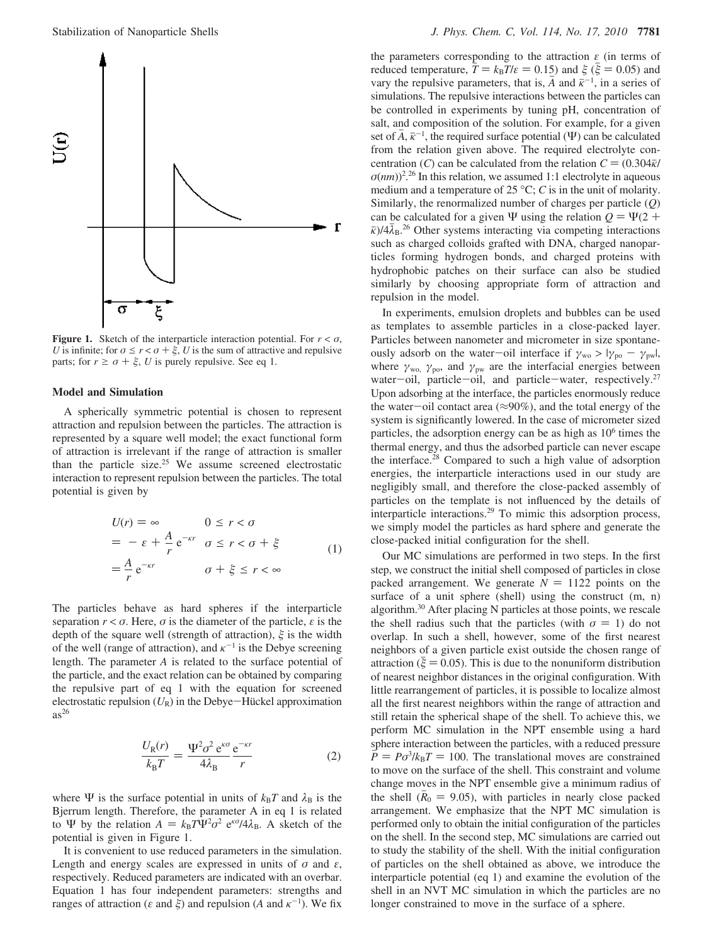

**Figure 1.** Sketch of the interparticle interaction potential. For  $r < \sigma$ , *U* is infinite; for  $\sigma \le r < \sigma + \xi$ , *U* is the sum of attractive and repulsive parts; for  $r \ge \sigma + \xi$ , *U* is purely repulsive. See eq 1.

#### **Model and Simulation**

A spherically symmetric potential is chosen to represent attraction and repulsion between the particles. The attraction is represented by a square well model; the exact functional form of attraction is irrelevant if the range of attraction is smaller than the particle size.<sup>25</sup> We assume screened electrostatic interaction to represent repulsion between the particles. The total potential is given by

$$
U(r) = \infty \qquad 0 \le r < \sigma
$$
  
=  $-\varepsilon + \frac{A}{r} e^{-\kappa r} \quad \sigma \le r < \sigma + \xi$   
=  $\frac{A}{r} e^{-\kappa r} \qquad \sigma + \xi \le r < \infty$  (1)

The particles behave as hard spheres if the interparticle separation  $r < \sigma$ . Here,  $\sigma$  is the diameter of the particle,  $\varepsilon$  is the depth of the square well (strength of attraction),  $\xi$  is the width of the well (range of attraction), and  $\kappa^{-1}$  is the Debye screening length. The parameter *A* is related to the surface potential of the particle, and the exact relation can be obtained by comparing the repulsive part of eq 1 with the equation for screened electrostatic repulsion  $(U_R)$  in the Debye-Hückel approximation  $as<sup>26</sup>$ 

$$
\frac{U_{\rm R}(r)}{k_{\rm B}T} = \frac{\Psi^2 \sigma^2 \,\mathrm{e}^{\kappa \sigma}}{4\lambda_{\rm B}} \frac{\mathrm{e}^{-\kappa r}}{r} \tag{2}
$$

where  $\Psi$  is the surface potential in units of  $k_B T$  and  $\lambda_B$  is the Bjerrum length. Therefore, the parameter A in eq 1 is related to Ψ by the relation  $A = k_B T \hat{\Psi}^2 \sigma^2 e^{\kappa \sigma/4} \lambda_B$ . A sketch of the potential is given in Figure 1.

It is convenient to use reduced parameters in the simulation. Length and energy scales are expressed in units of  $\sigma$  and  $\varepsilon$ , respectively. Reduced parameters are indicated with an overbar. Equation 1 has four independent parameters: strengths and ranges of attraction ( $\varepsilon$  and  $\bar{\xi}$ ) and repulsion (A and  $\kappa^{-1}$ ). We fix

the parameters corresponding to the attraction  $\varepsilon$  (in terms of reduced temperature,  $\overline{T} = k_B T/\varepsilon = 0.15$  and  $\xi$  ( $\overline{\xi} = 0.05$ ) and vary the repulsive parameters, that is,  $\overline{A}$  and  $\overline{\kappa}^{-1}$ , in a series of simulations. The repulsive interactions between the particles can be controlled in experiments by tuning pH, concentration of salt, and composition of the solution. For example, for a given set of  $\overline{A}$ ,  $\overline{k}^{-1}$ , the required surface potential (Ψ) can be calculated from the relation given above. The required electrolyte concentration (*C*) can be calculated from the relation  $C = (0.304\bar{\kappa})$  $\sigma(nm)$ <sup>2.26</sup> In this relation, we assumed 1:1 electrolyte in aqueous medium and a temperature of 25 °C; *C* is in the unit of molarity. Similarly, the renormalized number of charges per particle (*Q*) can be calculated for a given  $\Psi$  using the relation  $Q = \Psi(2 + \Psi)$  $\overline{k}$ )/4 $\overline{\lambda}_{\rm B}$ .<sup>26</sup> Other systems interacting via competing interactions such as charged colloids grafted with DNA, charged nanoparticles forming hydrogen bonds, and charged proteins with hydrophobic patches on their surface can also be studied similarly by choosing appropriate form of attraction and repulsion in the model.

In experiments, emulsion droplets and bubbles can be used as templates to assemble particles in a close-packed layer. Particles between nanometer and micrometer in size spontaneously adsorb on the water-oil interface if  $\gamma_{wo} > |\gamma_{po} - \gamma_{pw}|$ , where  $\gamma_{\rm wo}$ ,  $\gamma_{\rm po}$ , and  $\gamma_{\rm pw}$  are the interfacial energies between water-oil, particle-oil, and particle-water, respectively.<sup>27</sup> Upon adsorbing at the interface, the particles enormously reduce the water-oil contact area ( $\approx$ 90%), and the total energy of the system is significantly lowered. In the case of micrometer sized particles, the adsorption energy can be as high as 10<sup>6</sup> times the thermal energy, and thus the adsorbed particle can never escape the interface.<sup>28</sup> Compared to such a high value of adsorption energies, the interparticle interactions used in our study are negligibly small, and therefore the close-packed assembly of particles on the template is not influenced by the details of interparticle interactions.<sup>29</sup> To mimic this adsorption process, we simply model the particles as hard sphere and generate the close-packed initial configuration for the shell.

Our MC simulations are performed in two steps. In the first step, we construct the initial shell composed of particles in close packed arrangement. We generate  $N = 1122$  points on the surface of a unit sphere (shell) using the construct  $(m, n)$ algorithm.<sup>30</sup> After placing N particles at those points, we rescale the shell radius such that the particles (with  $\sigma = 1$ ) do not overlap. In such a shell, however, some of the first nearest neighbors of a given particle exist outside the chosen range of attraction ( $\xi$  = 0.05). This is due to the nonuniform distribution of nearest neighbor distances in the original configuration. With little rearrangement of particles, it is possible to localize almost all the first nearest neighbors within the range of attraction and still retain the spherical shape of the shell. To achieve this, we perform MC simulation in the NPT ensemble using a hard sphere interaction between the particles, with a reduced pressure  $\overline{P} = P\sigma^3/k_B T = 100$ . The translational moves are constrained to move on the surface of the shell. This constraint and volume change moves in the NPT ensemble give a minimum radius of the shell  $(\bar{R}_0 = 9.05)$ , with particles in nearly close packed arrangement. We emphasize that the NPT MC simulation is performed only to obtain the initial configuration of the particles on the shell. In the second step, MC simulations are carried out to study the stability of the shell. With the initial configuration of particles on the shell obtained as above, we introduce the interparticle potential (eq 1) and examine the evolution of the shell in an NVT MC simulation in which the particles are no longer constrained to move in the surface of a sphere.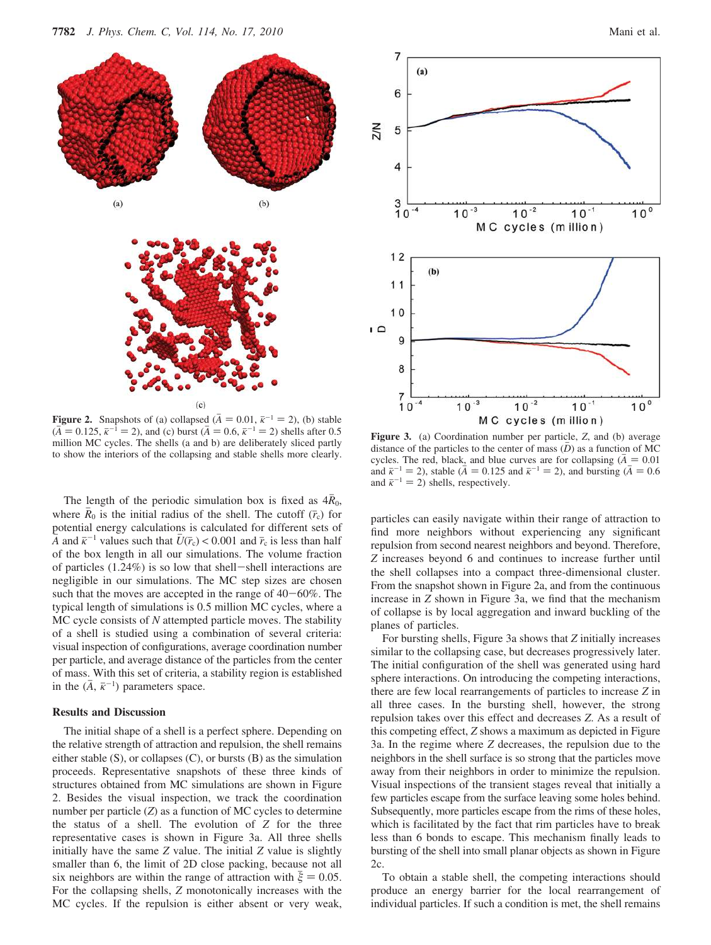

**Figure 2.** Snapshots of (a) collapsed  $(\bar{A} = 0.01, \bar{\kappa}^{-1} = 2)$ , (b) stable  $($ A<sub>j</sub> 0.125,  $\bar{k}^{-1}$  = 2), and (c) burst ( $\bar{A}$  = 0.6,  $\bar{k}^{-1}$  = 2) shells after 0.5 million MC cycles. The shells (a and b) are deliberately sliced partly to show the interiors of the collapsing and stable shells more clearly.

The length of the periodic simulation box is fixed as  $4\bar{R}_0$ , where  $\bar{R}_0$  is the initial radius of the shell. The cutoff  $(\bar{r}_c)$  for potential energy calculations is calculated for different sets of *A* and  $\bar{k}^{-1}$  values such that  $\bar{U}(\bar{r}_c) < 0.001$  and  $\bar{r}_c$  is less than half of the box length in all our simulations. The volume fraction of particles  $(1.24\%)$  is so low that shell-shell interactions are negligible in our simulations. The MC step sizes are chosen such that the moves are accepted in the range of  $40-60\%$ . The typical length of simulations is 0.5 million MC cycles, where a MC cycle consists of *N* attempted particle moves. The stability of a shell is studied using a combination of several criteria: visual inspection of configurations, average coordination number per particle, and average distance of the particles from the center of mass. With this set of criteria, a stability region is established in the  $(\overline{A}, \overline{\kappa}^{-1})$  parameters space.

## **Results and Discussion**

The initial shape of a shell is a perfect sphere. Depending on the relative strength of attraction and repulsion, the shell remains either stable (S), or collapses (C), or bursts (B) as the simulation proceeds. Representative snapshots of these three kinds of structures obtained from MC simulations are shown in Figure 2. Besides the visual inspection, we track the coordination number per particle (*Z*) as a function of MC cycles to determine the status of a shell. The evolution of *Z* for the three representative cases is shown in Figure 3a. All three shells initially have the same *Z* value. The initial *Z* value is slightly smaller than 6, the limit of 2D close packing, because not all six neighbors are within the range of attraction with  $\bar{\xi} = 0.05$ . For the collapsing shells, *Z* monotonically increases with the MC cycles. If the repulsion is either absent or very weak,



**Figure 3.** (a) Coordination number per particle, *Z*, and (b) average distance of the particles to the center of mass  $(D)$  as a function of MC cycles. The red, black, and blue curves are for collapsing  $(\bar{A} = 0.01)$ and  $\bar{\kappa}^{-1} = 2$ ), stable ( $\bar{A} = 0.125$  and  $\bar{\kappa}^{-1} = 2$ ), and bursting ( $\bar{A} = 0.6$ ) and  $\bar{\kappa}^{-1} = 2$ ) shells, respectively.

particles can easily navigate within their range of attraction to find more neighbors without experiencing any significant repulsion from second nearest neighbors and beyond. Therefore, *Z* increases beyond 6 and continues to increase further until the shell collapses into a compact three-dimensional cluster. From the snapshot shown in Figure 2a, and from the continuous increase in *Z* shown in Figure 3a, we find that the mechanism of collapse is by local aggregation and inward buckling of the planes of particles.

For bursting shells, Figure 3a shows that *Z* initially increases similar to the collapsing case, but decreases progressively later. The initial configuration of the shell was generated using hard sphere interactions. On introducing the competing interactions, there are few local rearrangements of particles to increase *Z* in all three cases. In the bursting shell, however, the strong repulsion takes over this effect and decreases *Z*. As a result of this competing effect, *Z* shows a maximum as depicted in Figure 3a. In the regime where *Z* decreases, the repulsion due to the neighbors in the shell surface is so strong that the particles move away from their neighbors in order to minimize the repulsion. Visual inspections of the transient stages reveal that initially a few particles escape from the surface leaving some holes behind. Subsequently, more particles escape from the rims of these holes, which is facilitated by the fact that rim particles have to break less than 6 bonds to escape. This mechanism finally leads to bursting of the shell into small planar objects as shown in Figure 2c.

To obtain a stable shell, the competing interactions should produce an energy barrier for the local rearrangement of individual particles. If such a condition is met, the shell remains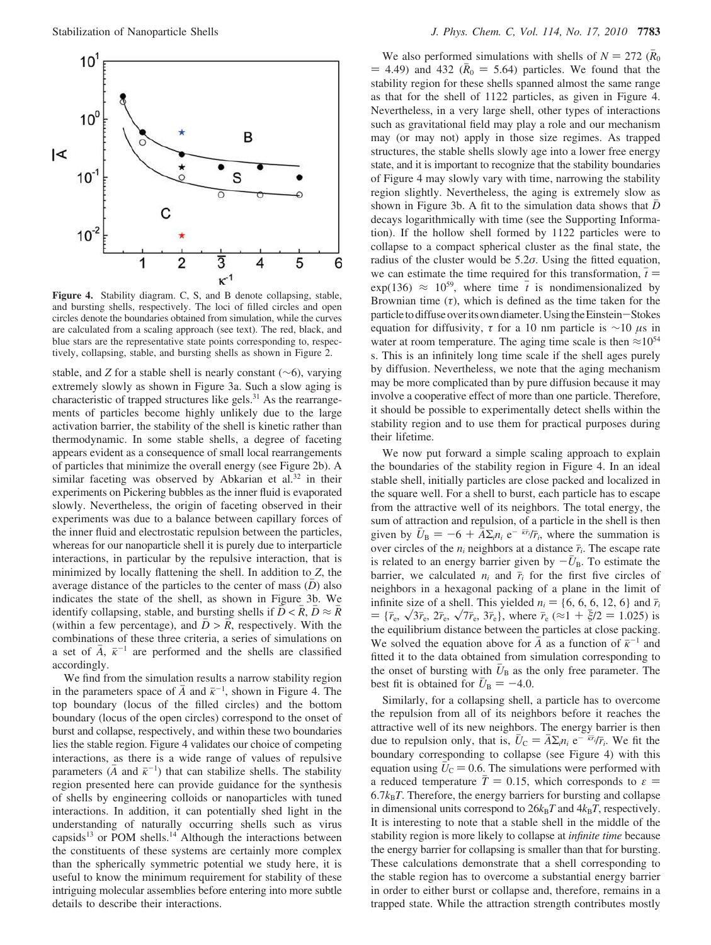

**Figure 4.** Stability diagram. C, S, and B denote collapsing, stable, and bursting shells, respectively. The loci of filled circles and open circles denote the boundaries obtained from simulation, while the curves are calculated from a scaling approach (see text). The red, black, and blue stars are the representative state points corresponding to, respectively, collapsing, stable, and bursting shells as shown in Figure 2.

stable, and *Z* for a stable shell is nearly constant (∼6), varying extremely slowly as shown in Figure 3a. Such a slow aging is characteristic of trapped structures like gels. $31$  As the rearrangements of particles become highly unlikely due to the large activation barrier, the stability of the shell is kinetic rather than thermodynamic. In some stable shells, a degree of faceting appears evident as a consequence of small local rearrangements of particles that minimize the overall energy (see Figure 2b). A similar faceting was observed by Abkarian et al. $32$  in their experiments on Pickering bubbles as the inner fluid is evaporated slowly. Nevertheless, the origin of faceting observed in their experiments was due to a balance between capillary forces of the inner fluid and electrostatic repulsion between the particles, whereas for our nanoparticle shell it is purely due to interparticle interactions, in particular by the repulsive interaction, that is minimized by locally flattening the shell. In addition to *Z*, the average distance of the particles to the center of mass  $(D)$  also indicates the state of the shell, as shown in Figure 3b. We identify collapsing, stable, and bursting shells if  $\bar{D} < \bar{R}$ ,  $\bar{D} \approx \bar{R}$ (within a few percentage), and  $\overline{D}$  >  $\overline{R}$ , respectively. With the combinations of these three criteria, a series of simulations on a set of  $\overline{A}$ ,  $\overline{\kappa}^{-1}$  are performed and the shells are classified accordingly.

We find from the simulation results a narrow stability region in the parameters space of  $\overline{A}$  and  $\overline{\kappa}^{-1}$ , shown in Figure 4. The top boundary (locus of the filled circles) and the bottom boundary (locus of the open circles) correspond to the onset of burst and collapse, respectively, and within these two boundaries lies the stable region. Figure 4 validates our choice of competing interactions, as there is a wide range of values of repulsive parameters  $(\bar{A}$  and  $\bar{\kappa}^{-1})$  that can stabilize shells. The stability region presented here can provide guidance for the synthesis of shells by engineering colloids or nanoparticles with tuned interactions. In addition, it can potentially shed light in the understanding of naturally occurring shells such as virus capsids<sup>13</sup> or POM shells.<sup>14</sup> Although the interactions between the constituents of these systems are certainly more complex than the spherically symmetric potential we study here, it is useful to know the minimum requirement for stability of these intriguing molecular assemblies before entering into more subtle details to describe their interactions.

We also performed simulations with shells of  $N = 272$  ( $\bar{R}_0$ )  $= 4.49$ ) and 432 ( $\bar{R}_0 = 5.64$ ) particles. We found that the stability region for these shells spanned almost the same range as that for the shell of 1122 particles, as given in Figure 4. Nevertheless, in a very large shell, other types of interactions such as gravitational field may play a role and our mechanism may (or may not) apply in those size regimes. As trapped structures, the stable shells slowly age into a lower free energy state, and it is important to recognize that the stability boundaries of Figure 4 may slowly vary with time, narrowing the stability region slightly. Nevertheless, the aging is extremely slow as shown in Figure 3b. A fit to the simulation data shows that  $\bar{D}$ decays logarithmically with time (see the Supporting Information). If the hollow shell formed by 1122 particles were to collapse to a compact spherical cluster as the final state, the radius of the cluster would be  $5.2\sigma$ . Using the fitted equation, we can estimate the time required for this transformation,  $\vec{t} =$  $\exp(136) \approx 10^{59}$ , where time  $\bar{t}$  is nondimensionalized by Brownian time  $(\tau)$ , which is defined as the time taken for the particle to diffuse over its own diameter. Using the Einstein-Stokes equation for diffusivity,  $\tau$  for a 10 nm particle is ∼10  $\mu$ s in water at room temperature. The aging time scale is then  $\approx 10^{54}$ s. This is an infinitely long time scale if the shell ages purely by diffusion. Nevertheless, we note that the aging mechanism may be more complicated than by pure diffusion because it may involve a cooperative effect of more than one particle. Therefore, it should be possible to experimentally detect shells within the stability region and to use them for practical purposes during their lifetime.

We now put forward a simple scaling approach to explain the boundaries of the stability region in Figure 4. In an ideal stable shell, initially particles are close packed and localized in the square well. For a shell to burst, each particle has to escape from the attractive well of its neighbors. The total energy, the sum of attraction and repulsion, of a particle in the shell is then given by  $\bar{U}_B = -6 + \bar{A}\Sigma_i n_i e^{-\bar{x}i}/\bar{r}_i$ , where the summation is over circles of the  $n_i$  neighbors at a distance  $\bar{r}_i$ . The escape rate is related to an energy barrier given by  $-\bar{U}_{\text{B}}$ . To estimate the barrier, we calculated  $n_i$  and  $\bar{r}_i$  for the first five circles of neighbors in a hexagonal packing of a plane in the limit of infinite size of a shell. This yielded  $n_i = \{6, 6, 6, 12, 6\}$  and  $\bar{r}_i$  $= {\bar{r}_e, \sqrt{3}\bar{r}_e, 2\bar{r}_e, \sqrt{7}\bar{r}_e, 3\bar{r}_e},$  where  $\bar{r}_e \approx 1 + \bar{\xi}/2 = 1.025$ ) is the equilibrium distance between the particles at close packing. We solved the equation above for *A* as a function of  $\overline{\kappa}^{-1}$  and fitted it to the data obtained from simulation corresponding to the onset of bursting with  $\bar{U}_B$  as the only free parameter. The best fit is obtained for  $\bar{U}_B = -4.0$ .

Similarly, for a collapsing shell, a particle has to overcome the repulsion from all of its neighbors before it reaches the attractive well of its new neighbors. The energy barrier is then due to repulsion only, that is,  $\overline{U}_C = \overline{A} \Sigma_i n_i e^{-\overline{\kappa} \overline{r_i}} / \overline{r_i}$ . We fit the boundary corresponding to collapse (see Figure 4) with this equation using  $\bar{U}_C = 0.6$ . The simulations were performed with a reduced temperature  $\overline{T}$  = 0.15, which corresponds to  $\varepsilon$  =  $6.7k_BT$ . Therefore, the energy barriers for bursting and collapse in dimensional units correspond to  $26k_BT$  and  $4k_BT$ , respectively. It is interesting to note that a stable shell in the middle of the stability region is more likely to collapse at *infinite time* because the energy barrier for collapsing is smaller than that for bursting. These calculations demonstrate that a shell corresponding to the stable region has to overcome a substantial energy barrier in order to either burst or collapse and, therefore, remains in a trapped state. While the attraction strength contributes mostly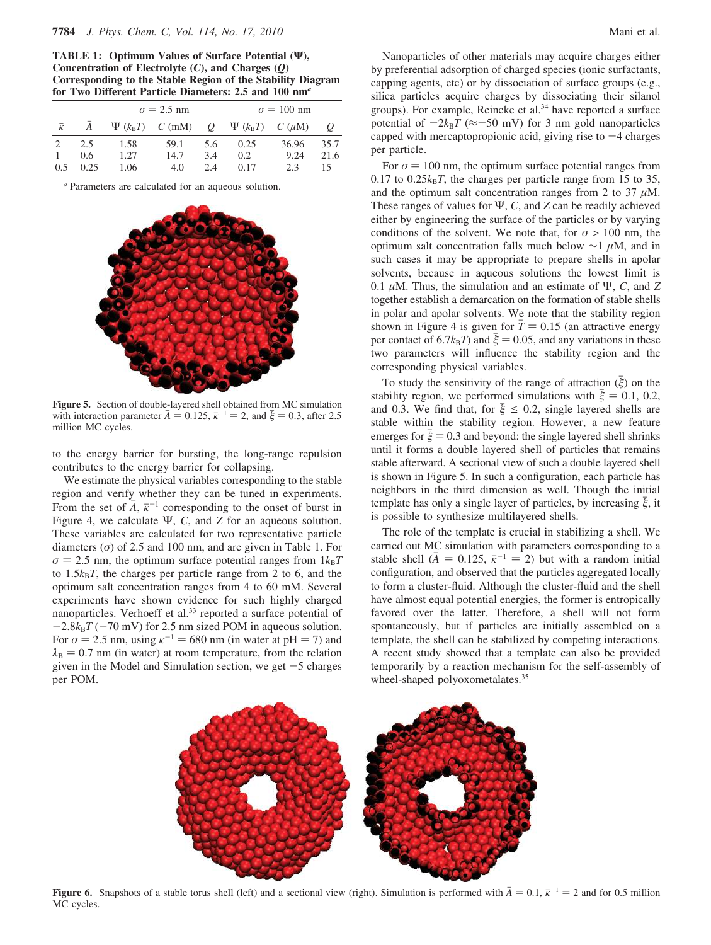**TABLE 1: Optimum Values of Surface Potential (Ψ), Concentration of Electrolyte (***C***), and Charges (***Q***) Corresponding to the Stable Region of the Stability Diagram for Two Different Particle Diameters: 2.5 and 100 nm***<sup>a</sup>*

|                     |                | $\sigma = 2.5$ nm |                           |     | $\sigma = 100$ nm                      |       |          |
|---------------------|----------------|-------------------|---------------------------|-----|----------------------------------------|-------|----------|
| $\overline{\kappa}$ | $\overline{A}$ |                   | $\Psi$ ( $k_B T$ ) C (mM) | 0   | $\Psi$ (k <sub>B</sub> T) C ( $\mu$ M) |       | $\omega$ |
|                     | 2.5            | 1.58              | 59.1                      | 5.6 | 0.25                                   | 36.96 | 35.7     |
|                     | $0.6^{\circ}$  | 1.27              | 14.7                      | 3.4 | 0.2                                    | 9.24  | 21.6     |
| 0.5                 | 0.25           | 1.06              | 4.0                       | 24  | 0.17                                   | 2.3   | 15       |

*<sup>a</sup>* Parameters are calculated for an aqueous solution.



**Figure 5.** Section of double-layered shell obtained from MC simulation with interaction parameter  $\overline{A} = 0.125$ ,  $\overline{\kappa}^{-1} = 2$ , and  $\overline{\xi} = 0.3$ , after 2.5 million MC cycles.

to the energy barrier for bursting, the long-range repulsion contributes to the energy barrier for collapsing.

We estimate the physical variables corresponding to the stable region and verify whether they can be tuned in experiments. From the set of  $\overline{A}$ ,  $\overline{\kappa}^{-1}$  corresponding to the onset of burst in Figure 4, we calculate Ψ, *C*, and *Z* for an aqueous solution. These variables are calculated for two representative particle diameters  $\sigma$  of 2.5 and 100 nm, and are given in Table 1. For  $\sigma = 2.5$  nm, the optimum surface potential ranges from  $1k_BT$ to  $1.5k_BT$ , the charges per particle range from 2 to 6, and the optimum salt concentration ranges from 4 to 60 mM. Several experiments have shown evidence for such highly charged nanoparticles. Verhoeff et al. $33$  reported a surface potential of  $-2.8k_BT$  ( $-70$  mV) for 2.5 nm sized POM in aqueous solution. For  $\sigma = 2.5$  nm, using  $\kappa^{-1} = 680$  nm (in water at pH = 7) and  $\lambda_B = 0.7$  nm (in water) at room temperature, from the relation given in the Model and Simulation section, we get  $-5$  charges per POM.

Nanoparticles of other materials may acquire charges either by preferential adsorption of charged species (ionic surfactants, capping agents, etc) or by dissociation of surface groups (e.g., silica particles acquire charges by dissociating their silanol groups). For example, Reincke et al.<sup>34</sup> have reported a surface potential of  $-2k_BT$  ( $\approx$ -50 mV) for 3 nm gold nanoparticles capped with mercaptopropionic acid, giving rise to  $-4$  charges per particle.

For  $\sigma$  = 100 nm, the optimum surface potential ranges from 0.17 to  $0.25k_BT$ , the charges per particle range from 15 to 35, and the optimum salt concentration ranges from 2 to 37  $\mu$ M. These ranges of values for Ψ, *C*, and *Z* can be readily achieved either by engineering the surface of the particles or by varying conditions of the solvent. We note that, for  $\sigma > 100$  nm, the optimum salt concentration falls much below ∼1 µM, and in such cases it may be appropriate to prepare shells in apolar solvents, because in aqueous solutions the lowest limit is 0.1 µM. Thus, the simulation and an estimate of Ψ, *C*, and *Z* together establish a demarcation on the formation of stable shells in polar and apolar solvents. We note that the stability region shown in Figure 4 is given for  $\overline{T} = 0.15$  (an attractive energy per contact of 6.7 $k_B T$ ) and  $\bar{\xi} = 0.05$ , and any variations in these two parameters will influence the stability region and the corresponding physical variables.

To study the sensitivity of the range of attraction  $(\bar{\xi})$  on the stability region, we performed simulations with  $\bar{\xi} = 0.1, 0.2,$ and 0.3. We find that, for  $\bar{\xi} \le 0.2$ , single layered shells are stable within the stability region. However, a new feature emerges for  $\bar{\xi} = 0.3$  and beyond: the single layered shell shrinks until it forms a double layered shell of particles that remains stable afterward. A sectional view of such a double layered shell is shown in Figure 5. In such a configuration, each particle has neighbors in the third dimension as well. Though the initial template has only a single layer of particles, by increasing  $\xi$ , it is possible to synthesize multilayered shells.

The role of the template is crucial in stabilizing a shell. We carried out MC simulation with parameters corresponding to a stable shell  $(\bar{A} = 0.125, \bar{k}^{-1} = 2)$  but with a random initial configuration, and observed that the particles aggregated locally to form a cluster-fluid. Although the cluster-fluid and the shell have almost equal potential energies, the former is entropically favored over the latter. Therefore, a shell will not form spontaneously, but if particles are initially assembled on a template, the shell can be stabilized by competing interactions. A recent study showed that a template can also be provided temporarily by a reaction mechanism for the self-assembly of wheel-shaped polyoxometalates.<sup>35</sup>



**Figure 6.** Snapshots of a stable torus shell (left) and a sectional view (right). Simulation is performed with  $\overline{A} = 0.1$ ,  $\overline{\kappa}^{-1} = 2$  and for 0.5 million MC cycles.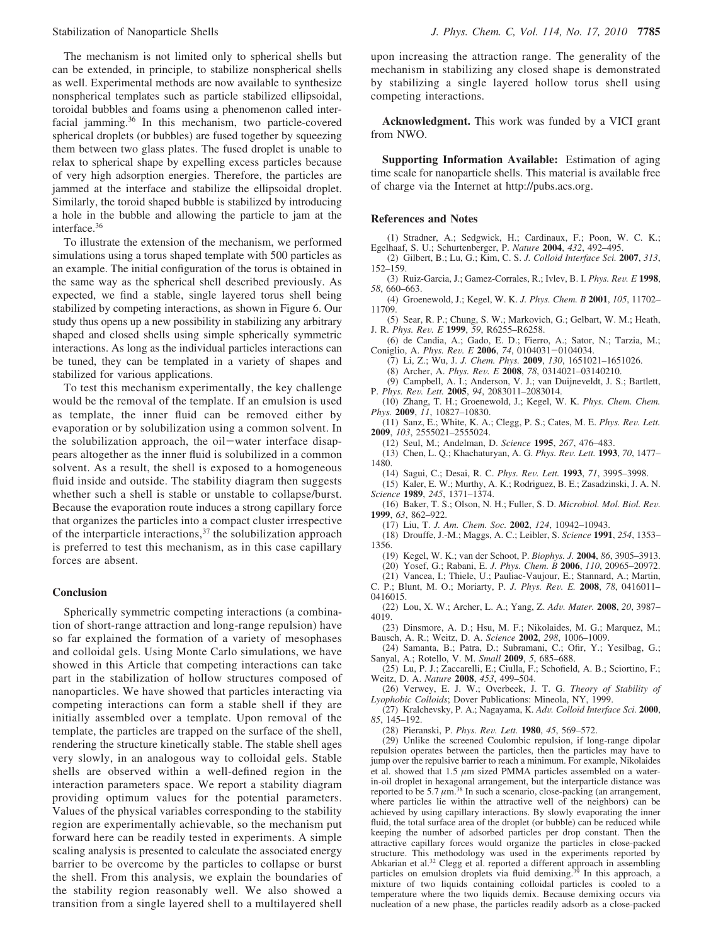The mechanism is not limited only to spherical shells but can be extended, in principle, to stabilize nonspherical shells as well. Experimental methods are now available to synthesize nonspherical templates such as particle stabilized ellipsoidal, toroidal bubbles and foams using a phenomenon called interfacial jamming.<sup>36</sup> In this mechanism, two particle-covered spherical droplets (or bubbles) are fused together by squeezing them between two glass plates. The fused droplet is unable to relax to spherical shape by expelling excess particles because of very high adsorption energies. Therefore, the particles are jammed at the interface and stabilize the ellipsoidal droplet. Similarly, the toroid shaped bubble is stabilized by introducing a hole in the bubble and allowing the particle to jam at the interface.<sup>36</sup>

To illustrate the extension of the mechanism, we performed simulations using a torus shaped template with 500 particles as an example. The initial configuration of the torus is obtained in the same way as the spherical shell described previously. As expected, we find a stable, single layered torus shell being stabilized by competing interactions, as shown in Figure 6. Our study thus opens up a new possibility in stabilizing any arbitrary shaped and closed shells using simple spherically symmetric interactions. As long as the individual particles interactions can be tuned, they can be templated in a variety of shapes and stabilized for various applications.

To test this mechanism experimentally, the key challenge would be the removal of the template. If an emulsion is used as template, the inner fluid can be removed either by evaporation or by solubilization using a common solvent. In the solubilization approach, the oil-water interface disappears altogether as the inner fluid is solubilized in a common solvent. As a result, the shell is exposed to a homogeneous fluid inside and outside. The stability diagram then suggests whether such a shell is stable or unstable to collapse/burst. Because the evaporation route induces a strong capillary force that organizes the particles into a compact cluster irrespective of the interparticle interactions, $37$  the solubilization approach is preferred to test this mechanism, as in this case capillary forces are absent.

## **Conclusion**

Spherically symmetric competing interactions (a combination of short-range attraction and long-range repulsion) have so far explained the formation of a variety of mesophases and colloidal gels. Using Monte Carlo simulations, we have showed in this Article that competing interactions can take part in the stabilization of hollow structures composed of nanoparticles. We have showed that particles interacting via competing interactions can form a stable shell if they are initially assembled over a template. Upon removal of the template, the particles are trapped on the surface of the shell, rendering the structure kinetically stable. The stable shell ages very slowly, in an analogous way to colloidal gels. Stable shells are observed within a well-defined region in the interaction parameters space. We report a stability diagram providing optimum values for the potential parameters. Values of the physical variables corresponding to the stability region are experimentally achievable, so the mechanism put forward here can be readily tested in experiments. A simple scaling analysis is presented to calculate the associated energy barrier to be overcome by the particles to collapse or burst the shell. From this analysis, we explain the boundaries of the stability region reasonably well. We also showed a transition from a single layered shell to a multilayered shell

upon increasing the attraction range. The generality of the mechanism in stabilizing any closed shape is demonstrated by stabilizing a single layered hollow torus shell using competing interactions.

**Acknowledgment.** This work was funded by a VICI grant from NWO.

**Supporting Information Available:** Estimation of aging time scale for nanoparticle shells. This material is available free of charge via the Internet at http://pubs.acs.org.

#### **References and Notes**

(1) Stradner, A.; Sedgwick, H.; Cardinaux, F.; Poon, W. C. K.; Egelhaaf, S. U.; Schurtenberger, P. *Nature* **2004**, *432*, 492–495.

(2) Gilbert, B.; Lu, G.; Kim, C. S. *J. Colloid Interface Sci.* **2007**, *313*, 152–159.

(3) Ruiz-Garcia, J.; Gamez-Corrales, R.; Ivlev, B. I. *Phys. Re*V*. E* **1998**, *58*, 660–663.

(4) Groenewold, J.; Kegel, W. K. *J. Phys. Chem. B* **2001**, *105*, 11702– 11709.

(5) Sear, R. P.; Chung, S. W.; Markovich, G.; Gelbart, W. M.; Heath, J. R. *Phys. Re*V*. E* **1999**, *59*, R6255–R6258.

(6) de Candia, A.; Gado, E. D.; Fierro, A.; Sator, N.; Tarzia, M.; Coniglio, A. *Phys. Re*V*. E* **2006**, *74*, 0104031-0104034.

(7) Li, Z.; Wu, J. *J. Chem. Phys.* **2009**, *130*, 1651021–1651026.

(8) Archer, A. *Phys. Re*V*. E* **2008**, *78*, 0314021–03140210.

(9) Campbell, A. I.; Anderson, V. J.; van Duijneveldt, J. S.; Bartlett, P. *Phys. Re*V*. Lett.* **2005**, *94*, 2083011–2083014.

(10) Zhang, T. H.; Groenewold, J.; Kegel, W. K. *Phys. Chem. Chem. Phys.* **2009**, *11*, 10827–10830.

(11) Sanz, E.; White, K. A.; Clegg, P. S.; Cates, M. E. *Phys. Re*V*. Lett.* **2009**, *103*, 2555021–2555024.

(12) Seul, M.; Andelman, D. *Science* **1995**, *267*, 476–483.

(13) Chen, L. Q.; Khachaturyan, A. G. *Phys. Re*V*. Lett.* **1993**, *70*, 1477– 1480.

(14) Sagui, C.; Desai, R. C. *Phys. Re*V*. Lett.* **1993**, *71*, 3995–3998.

(15) Kaler, E. W.; Murthy, A. K.; Rodriguez, B. E.; Zasadzinski, J. A. N.

*Science* **1989**, *245*, 1371–1374. (16) Baker, T. S.; Olson, N. H.; Fuller, S. D. *Microbiol. Mol. Biol. Re*V*.*

**1999**, *63*, 862–922.

(17) Liu, T. *J. Am. Chem. Soc.* **2002**, *124*, 10942–10943.

(18) Drouffe, J.-M.; Maggs, A. C.; Leibler, S. *Science* **1991**, *254*, 1353– 1356.

(19) Kegel, W. K.; van der Schoot, P. *Biophys. J.* **2004**, *86*, 3905–3913. (20) Yosef, G.; Rabani, E. *J. Phys. Chem. B* **2006**, *110*, 20965–20972.

(21) Vancea, I.; Thiele, U.; Pauliac-Vaujour, E.; Stannard, A.; Martin,

C. P.; Blunt, M. O.; Moriarty, P. *J. Phys. Re*V*. E.* **2008**, *78*, 0416011– 0416015.

(22) Lou, X. W.; Archer, L. A.; Yang, Z. *Ad*V*. Mater.* **2008**, *20*, 3987– 4019.

(23) Dinsmore, A. D.; Hsu, M. F.; Nikolaides, M. G.; Marquez, M.; Bausch, A. R.; Weitz, D. A. *Science* **2002**, *298*, 1006–1009.

(24) Samanta, B.; Patra, D.; Subramani, C.; Ofir, Y.; Yesilbag, G.; Sanyal, A.; Rotello, V. M. *Small* **2009**, *5*, 685–688.

(25) Lu, P. J.; Zaccarelli, E.; Ciulla, F.; Schofield, A. B.; Sciortino, F.; Weitz, D. A. *Nature* **2008**, *453*, 499–504.

(26) Verwey, E. J. W.; Overbeek, J. T. G. *Theory of Stability of Lyophobic Colloids*; Dover Publications: Mineola, NY, 1999.

(27) Kralchevsky, P. A.; Nagayama, K. *Ad*V*. Colloid Interface Sci.* **2000**, *85*, 145–192.

(28) Pieranski, P. *Phys. Re*V*. Lett.* **1980**, *45*, 569–572.

(29) Unlike the screened Coulombic repulsion, if long-range dipolar repulsion operates between the particles, then the particles may have to jump over the repulsive barrier to reach a minimum. For example, Nikolaides et al. showed that  $1.5 \mu m$  sized PMMA particles assembled on a waterin-oil droplet in hexagonal arrangement, but the interparticle distance was reported to be  $5.7 \mu m^{38}$  In such a scenario, close-packing (an arrangement, where particles lie within the attractive well of the neighbors) can be achieved by using capillary interactions. By slowly evaporating the inner fluid, the total surface area of the droplet (or bubble) can be reduced while keeping the number of adsorbed particles per drop constant. Then the attractive capillary forces would organize the particles in close-packed structure. This methodology was used in the experiments reported by Abkarian et al.<sup>32</sup> Clegg et al. reported a different approach in assembling particles on emulsion droplets via fluid demixing.<sup>39</sup> In this approach, a mixture of two liquids containing colloidal particles is cooled to a temperature where the two liquids demix. Because demixing occurs via nucleation of a new phase, the particles readily adsorb as a close-packed